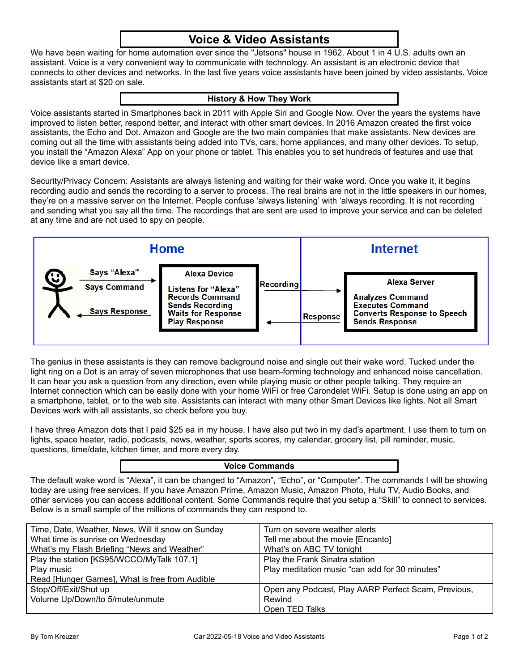# **Voice & Video Assistants**

We have been waiting for home automation ever since the "Jetsons" house in 1962. About 1 in 4 U.S. adults own an assistant. Voice is a very convenient way to communicate with technology. An assistant is an electronic device that connects to other devices and networks. In the last five years voice assistants have been joined by video assistants. Voice assistants start at \$20 on sale.

### **History & How They Work**

Voice assistants started in Smartphones back in 2011 with Apple Siri and Google Now. Over the years the systems have improved to listen better, respond better, and interact with other smart devices. In 2016 Amazon created the first voice assistants, the Echo and Dot. Amazon and Google are the two main companies that make assistants. New devices are coming out all the time with assistants being added into TVs, cars, home appliances, and many other devices. To setup, you install the "Amazon Alexa" App on your phone or tablet. This enables you to set hundreds of features and use that device like a smart device.

Security/Privacy Concern: Assistants are always listening and waiting for their wake word. Once you wake it, it begins recording audio and sends the recording to a server to process. The real brains are not in the little speakers in our homes, they're on a massive server on the Internet. People confuse 'always listening' with 'always recording. It is not recording and sending what you say all the time. The recordings that are sent are used to improve your service and can be deleted at any time and are not used to spy on people.

| Home                                                             |                                                                                                                                                            |                  | <b>Internet</b> |                                                                                                                                          |
|------------------------------------------------------------------|------------------------------------------------------------------------------------------------------------------------------------------------------------|------------------|-----------------|------------------------------------------------------------------------------------------------------------------------------------------|
| Says "Alexa"<br>9<br><b>Says Command</b><br><b>Says Response</b> | <b>Alexa Device</b><br><b>Listens for "Alexa"</b><br><b>Records Command</b><br><b>Sends Recording</b><br><b>Waits for Response</b><br><b>Play Response</b> | <b>Recording</b> | Response        | <b>Alexa Server</b><br><b>Analyzes Command</b><br><b>Executes Command</b><br><b>Converts Response to Speech</b><br><b>Sends Response</b> |

The genius in these assistants is they can remove background noise and single out their wake word. Tucked under the light ring on a Dot is an array of seven microphones that use beam-forming technology and enhanced noise cancellation. It can hear you ask a question from any direction, even while playing music or other people talking. They require an Internet connection which can be easily done with your home WiFi or free Carondelet WiFi. Setup is done using an app on a smartphone, tablet, or to the web site. Assistants can interact with many other Smart Devices like lights. Not all Smart Devices work with all assistants, so check before you buy.

I have three Amazon dots that I paid \$25 ea in my house. I have also put two in my dad's apartment. I use them to turn on lights, space heater, radio, podcasts, news, weather, sports scores, my calendar, grocery list, pill reminder, music, questions, time/date, kitchen timer, and more every day.

### **Voice Commands**

The default wake word is "Alexa", it can be changed to "Amazon", "Echo", or "Computer". The commands I will be showing today are using free services. If you have Amazon Prime, Amazon Music, Amazon Photo, Hulu TV, Audio Books, and other services you can access additional content. Some Commands require that you setup a "Skill" to connect to services. Below is a small sample of the millions of commands they can respond to.

| Time, Date, Weather, News, Will it snow on Sunday<br>What time is sunrise on Wednesday<br>What's my Flash Briefing "News and Weather" | Turn on severe weather alerts<br>Tell me about the movie [Encanto]<br>What's on ABC TV tonight |
|---------------------------------------------------------------------------------------------------------------------------------------|------------------------------------------------------------------------------------------------|
| Play the station [KS95/WCCO/MyTalk 107.1]<br>Play music<br>Read [Hunger Games], What is free from Audible                             | Play the Frank Sinatra station<br>Play meditation music "can add for 30 minutes"               |
| Stop/Off/Exit/Shut up<br>Volume Up/Down/to 5/mute/unmute                                                                              | Open any Podcast, Play AARP Perfect Scam, Previous,<br>Rewind<br>Open TED Talks                |